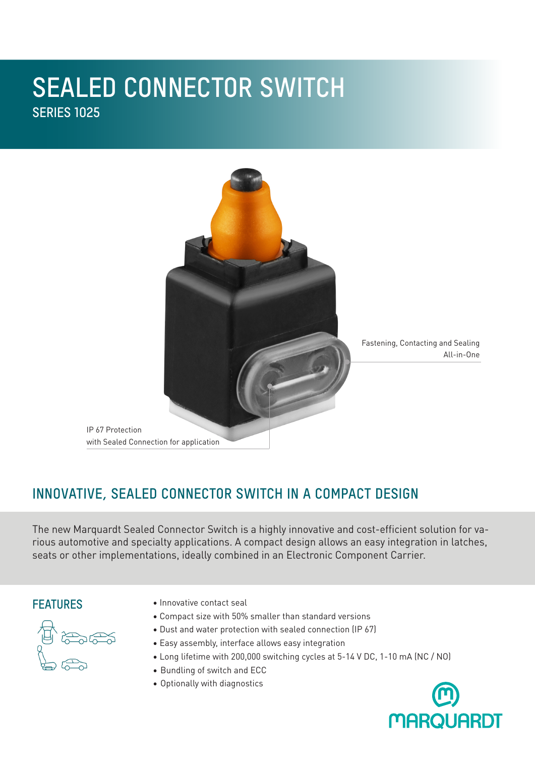# **SEALED CONNECTOR SWITCH SERIES 1025**



## **INNOVATIVE, SEALED CONNECTOR SWITCH IN A COMPACT DESIGN**

The new Marquardt Sealed Connector Switch is a highly innovative and cost-efficient solution for various automotive and specialty applications. A compact design allows an easy integration in latches, seats or other implementations, ideally combined in an Electronic Component Carrier.

#### **FEATURES**



- Innovative contact seal
- Compact size with 50% smaller than standard versions
- Dust and water protection with sealed connection (IP 67)
- Easy assembly, interface allows easy integration
- Long lifetime with 200,000 switching cycles at 5-14 V DC, 1-10 mA (NC / NO)
- Bundling of switch and ECC
- Optionally with diagnostics